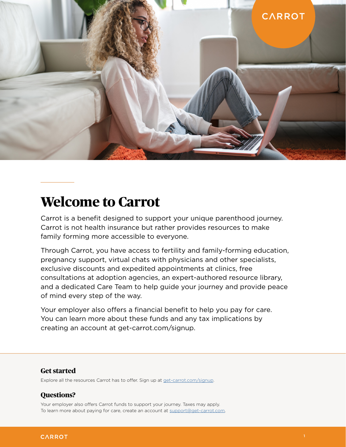

# **Welcome to Carrot**

Carrot is a benefit designed to support your unique parenthood journey. Carrot is not health insurance but rather provides resources to make family forming more accessible to everyone.

Through Carrot, you have access to fertility and family-forming education, pregnancy support, virtual chats with physicians and other specialists, exclusive discounts and expedited appointments at clinics, free consultations at adoption agencies, an expert-authored resource library, and a dedicated Care Team to help guide your journey and provide peace of mind every step of the way.

Your employer also offers a financial benefit to help you pay for care. You can learn more about these funds and any tax implications by creating an account at get-carrot.com/signup.

## **Get started**

Explore all the resources Carrot has to offer. Sign up at [get-carrot.com/signup.](http://get-carrot.com/signup)

# **Questions?**

Your employer also offers Carrot funds to support your journey. Taxes may apply. To learn more about paying for care, create an account at [support@get-carrot.com.](mailto:support%40get-carrot.com?subject=)